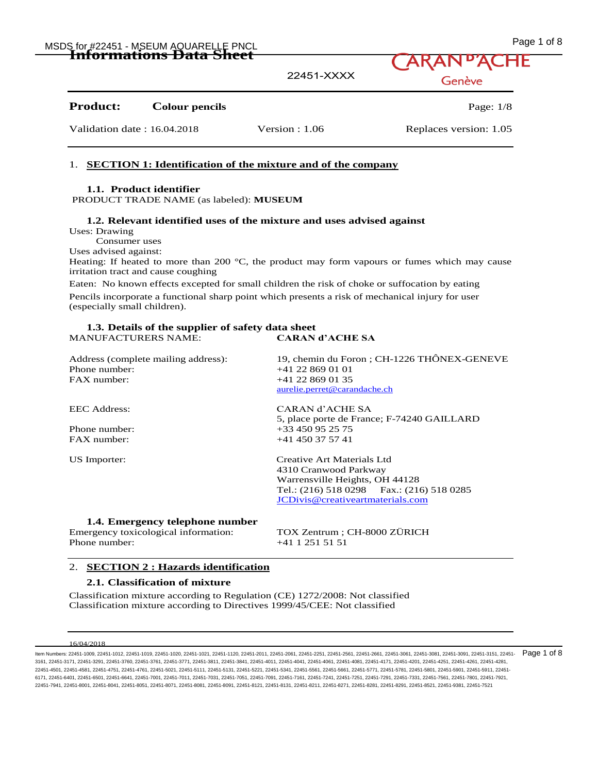| MSDS for #22451 - MSEUM AQUARELLE PNCL | Page 1 of 8 |
|----------------------------------------|-------------|
| IIIIWIIIKUUN LARI DIRRI                | ARAND'ACHE  |

| mnoi maatomo Data Dheet                  | 22451-XXXX       | LARAN ACHE<br>Genève   |
|------------------------------------------|------------------|------------------------|
| <b>Product:</b><br><b>Colour pencils</b> |                  | Page: $1/8$            |
| Validation date: 16.04.2018              | Version : $1.06$ | Replaces version: 1.05 |

### 1. **SECTION 1: Identification of the mixture and of the company**

### **1.1. Product identifier**

PRODUCT TRADE NAME (as labeled): **MUSEUM** 

### **1.2. Relevant identified uses of the mixture and uses advised against**

Uses: Drawing

Consumer uses

Uses advised against:

Heating: If heated to more than 200  $^{\circ}$ C, the product may form vapours or fumes which may cause irritation tract and cause coughing

Eaten: No known effects excepted for small children the risk of choke or suffocation by eating Pencils incorporate a functional sharp point which presents a risk of mechanical injury for user (especially small children).

### **1.3. Details of the supplier of safety data sheet**  MANUFACTURERS NAME: **CARAN d'ACHE SA**

Address (complete mailing address): 19, chemin du Foron ; CH-1226 THÔNEX-GENEVE Phone number:  $+41\,22\,869\,01\,01$ FAX number: +41 22 869 01 35 aurelie.perret@carandache.ch EEC Address: CARAN d'ACHE SA 5, place porte de France; F-74240 GAILLARD Phone number: +33 450 95 25 75<br>FAX number: +41 450 37 57 41 +41 450 37 57 41 US Importer: Creative Art Materials Ltd 4310 Cranwood Parkway Warrensville Heights, OH 44128 Tel.: (216) 518 0298 Fax.: (216) 518 0285 JCDivis@creativeartmaterials.com **1.4. Emergency telephone number**  Emergency toxicological information: TOX Zentrum ; CH-8000 ZÜRICH Phone number: +41 1 251 51 51

#### 2. **SECTION 2 : Hazards identification**

### **2.1. Classification of mixture**

Classification mixture according to Regulation (CE) 1272/2008: Not classified Classification mixture according to Directives 1999/45/CEE: Not classified

16/04/2018

ltem Numbers: 22451-1009, 22451-1012, 22451-1019, 22451-1020, 22451-1021, 22451-1120, 22451-2011, 22451-2261, 22451-2261, 22451-2661, 22451-2661, 22451-3061, 22451-3081, 22451-3081, 22451-3091, 22451-3151, 22451-3161, 2245 3161, 22451-3171, 22451-3291, 22451-3760, 22451-3761, 22451-3771, 22451-3811, 22451-3841, 22451-4011, 22451-4041, 22451-4061, 22451-4081, 22451-4171, 22451-4201, 22451-4251, 22451-4261, 22451-4281, 22451-4501, 22451-4581, 22451-4751, 22451-4761, 22451-5021, 22451-5111, 22451-5131, 22451-5221, 22451-5341, 22451-5561, 22451-5661, 22451-5771, 22451-5781, 22451-5801, 22451-5901, 22451-5911, 22451- 6171, 22451-6401, 22451-6501, 22451-6641, 22451-7001, 22451-7011, 22451-7031, 22451-7051, 22451-7091, 22451-7161, 22451-7241, 22451-7251, 22451-7291, 22451-7331, 22451-7331, 22451-7561, 22451-7391, 22451-7801, 22451-7921, 22451-7941, 22451-8001, 22451-8041, 22451-8051, 22451-8071, 22451-8081, 22451-8091, 22451-8121, 22451-8131, 22451-8211, 22451-8271, 22451-8281, 22451-8291, 22451-8521, 22451-9381, 22451-7521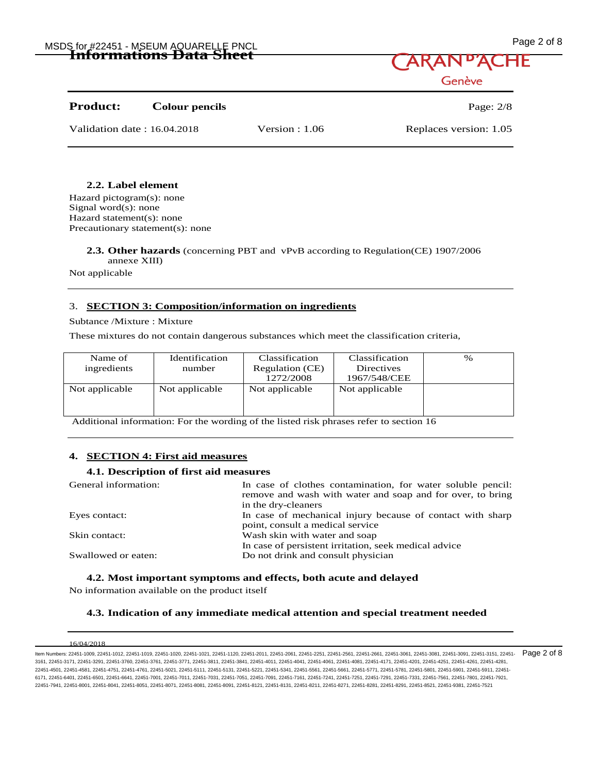## MSDS for #22451 - MSEUM AQUARELLE PNCL No. 1999 2 CHA Bage 2 of 8 MSDS for #22451 - MSEUM AQUARELLE PNCL **Informations Data Sheet**

| Page 2 of 8 |  |  |
|-------------|--|--|

Genève

# **Product:** Colour pencils Page: 2/8

Validation date : 16.04.2018 Version : 1.06 Replaces version: 1.05

### **2.2. Label element**

Hazard pictogram(s): none Signal word(s): none Hazard statement(s): none Precautionary statement(s): none

> **2.3. Other hazards** (concerning PBT and vPvB according to Regulation(CE) 1907/2006 annexe XIII)

Not applicable

### 3. **SECTION 3: Composition/information on ingredients**

Subtance /Mixture : Mixture

These mixtures do not contain dangerous substances which meet the classification criteria,

| Name of<br>ingredients | Identification<br>number | Classification<br>Regulation (CE)<br>1272/2008 | Classification<br>Directives<br>1967/548/CEE | $\%$ |
|------------------------|--------------------------|------------------------------------------------|----------------------------------------------|------|
| Not applicable         | Not applicable           | Not applicable                                 | Not applicable                               |      |

Additional information: For the wording of the listed risk phrases refer to section 16

### **4. SECTION 4: First aid measures**

### **4.1. Description of first aid measures**

| General information: | In case of clothes contamination, for water soluble pencil:<br>remove and wash with water and soap and for over, to bring<br>in the dry-cleaners |
|----------------------|--------------------------------------------------------------------------------------------------------------------------------------------------|
| Eyes contact:        | In case of mechanical injury because of contact with sharp                                                                                       |
|                      | point, consult a medical service                                                                                                                 |
| Skin contact:        | Wash skin with water and soap                                                                                                                    |
|                      | In case of persistent irritation, seek medical advice                                                                                            |
| Swallowed or eaten:  | Do not drink and consult physician                                                                                                               |

### **4.2. Most important symptoms and effects, both acute and delayed**

No information available on the product itself

### **4.3. Indication of any immediate medical attention and special treatment needed**

ltem Numbers: 22451-1009, 22451-1012, 22451-1019, 22451-1020, 22451-1021, 22451-1120, 22451-2011, 22451-2261, 22451-2261, 22451-2661, 22451-2661, 22451-3061, 22451-3081, 22451-3081, 22451-3091, 22451-3151, 22451-3161, 2245 3161, 22451-3171, 22451-3291, 22451-3760, 22451-3761, 22451-3771, 22451-3811, 22451-3841, 22451-4011, 22451-4041, 22451-4061, 22451-4081, 22451-4171, 22451-4201, 22451-4251, 22451-4261, 22451-4281, 22451-4501, 22451-4581, 22451-4751, 22451-4761, 22451-5021, 22451-5111, 22451-5131, 22451-5221, 22451-5341, 22451-5561, 22451-5661, 22451-5771, 22451-5781, 22451-5801, 22451-5901, 22451-5911, 22451- 6171, 22451-6401, 22451-6501, 22451-6641, 22451-7001, 22451-7011, 22451-7031, 22451-7051, 22451-7091, 22451-7161, 22451-7241, 22451-7251, 22451-7291, 22451-7331, 22451-7561, 22451-7801, 22451-7921, 22451-7941, 22451-8001, 22451-8041, 22451-8051, 22451-8071, 22451-8081, 22451-8091, 22451-8121, 22451-8131, 22451-8211, 22451-8271, 22451-8281, 22451-8291, 22451-8521, 22451-9381, 22451-7521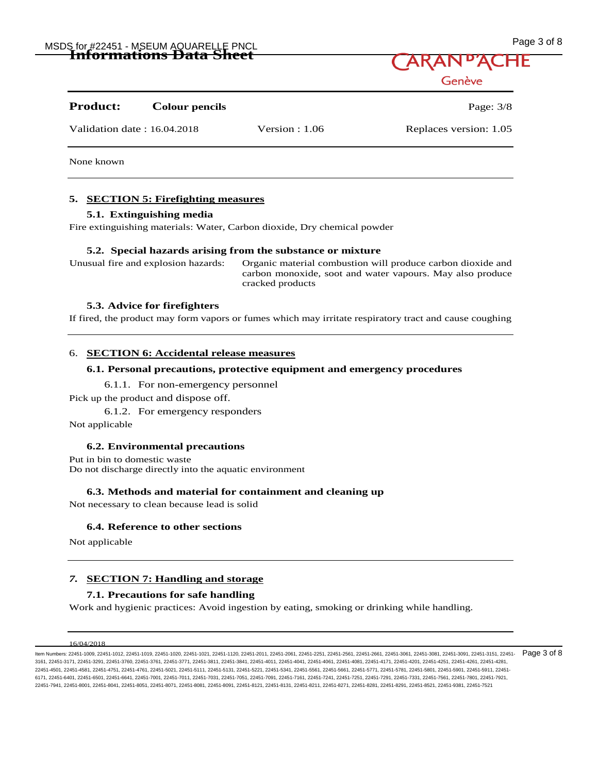## MSDS for #22451 - MSEUM AQUARELLE PNCL No. 1999 - And the state of the state of the state of the state of the state of the state of the state of the state of the state of the state of the state of the state of the state of **Informations Data Sheet**

| Page 3 of 8 |  |  |
|-------------|--|--|
|             |  |  |

Genève

# **Product: Colour pencils** Page: 3/8

Validation date : 16.04.2018 Version : 1.06 Replaces version: 1.05

None known

### **5. SECTION 5: Firefighting measures**

### **5.1. Extinguishing media**

Fire extinguishing materials: Water, Carbon dioxide, Dry chemical powder

### **5.2. Special hazards arising from the substance or mixture**

Unusual fire and explosion hazards: Organic material combustion will produce carbon dioxide and carbon monoxide, soot and water vapours. May also produce cracked products

### **5.3. Advice for firefighters**

If fired, the product may form vapors or fumes which may irritate respiratory tract and cause coughing

### 6. **SECTION 6: Accidental release measures**

### **6.1. Personal precautions, protective equipment and emergency procedures**

6.1.1. For non-emergency personnel

Pick up the product and dispose off.

6.1.2. For emergency responders

Not applicable

### **6.2. Environmental precautions**

Put in bin to domestic waste Do not discharge directly into the aquatic environment

### **6.3. Methods and material for containment and cleaning up**

Not necessary to clean because lead is solid

### **6.4. Reference to other sections**

Not applicable

### *7.* **SECTION 7: Handling and storage**

### **7.1. Precautions for safe handling**

Work and hygienic practices: Avoid ingestion by eating, smoking or drinking while handling.

ltem Numbers: 22451-1009, 22451-1012, 22451-1019, 22451-1020, 22451-1021, 22451-1120, 22451-2011, 22451-2261, 22451-2261, 22451-2661, 22451-2661, 22451-3061, 22451-3081, 22451-3081, 22451-3091, 22451-3151, 22451-3161, 2245 3161, 22451-3171, 22451-3291, 22451-3760, 22451-3761, 22451-3771, 22451-3811, 22451-3841, 22451-4011, 22451-4041, 22451-4061, 22451-4081, 22451-4171, 22451-4201, 22451-4251, 22451-4261, 22451-4281, 22451-4501, 22451-4581, 22451-4751, 22451-4761, 22451-5021, 22451-5111, 22451-5131, 22451-5221, 22451-5341, 22451-5561, 22451-5661, 22451-5771, 22451-5781, 22451-5801, 22451-5901, 22451-5911, 22451- 6171, 22451-6401, 22451-6501, 22451-6641, 22451-7001, 22451-7011, 22451-7031, 22451-7051, 22451-7091, 22451-7161, 22451-7241, 22451-7251, 22451-7291, 22451-7331, 22451-7561, 22451-7801, 22451-7921, 22451-7941, 22451-8001, 22451-8041, 22451-8051, 22451-8071, 22451-8081, 22451-8091, 22451-8121, 22451-8131, 22451-8211, 22451-8271, 22451-8281, 22451-8291, 22451-8521, 22451-9381, 22451-7521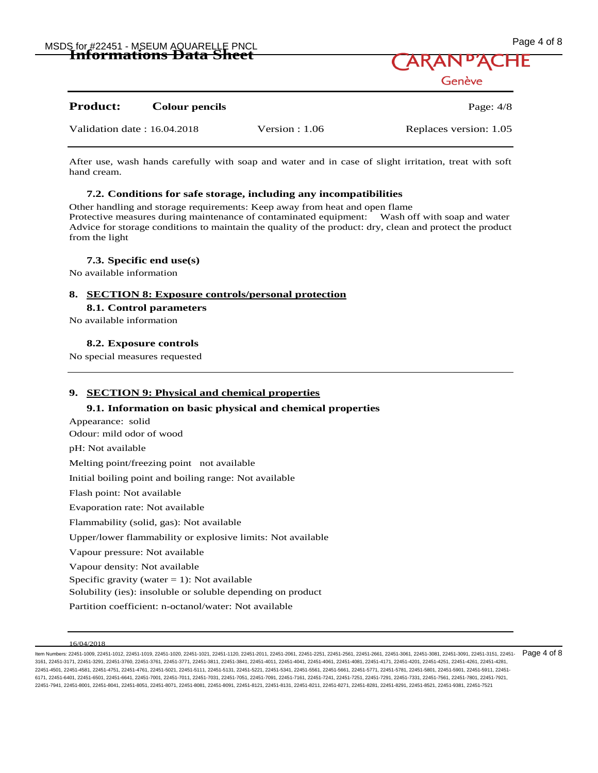

### **Product:** Colour pencils **Product:** Page: 4/8

Validation date : 16.04.2018 Version : 1.06 Replaces version: 1.05

After use, wash hands carefully with soap and water and in case of slight irritation, treat with soft hand cream.

### **7.2. Conditions for safe storage, including any incompatibilities**

Other handling and storage requirements: Keep away from heat and open flame Protective measures during maintenance of contaminated equipment: Wash off with soap and water Advice for storage conditions to maintain the quality of the product: dry, clean and protect the product from the light

### **7.3. Specific end use(s)**

No available information

#### **8. SECTION 8: Exposure controls/personal protection**

#### **8.1. Control parameters**

No available information

**8.2. Exposure controls** 

No special measures requested

### **9. SECTION 9: Physical and chemical properties**

### **9.1. Information on basic physical and chemical properties**

Appearance: solid Odour: mild odor of wood pH: Not available Melting point/freezing point not available Initial boiling point and boiling range: Not available Flash point: Not available Evaporation rate: Not available Flammability (solid, gas): Not available Upper/lower flammability or explosive limits: Not available Vapour pressure: Not available Vapour density: Not available Specific gravity (water  $= 1$ ): Not available Solubility (ies): insoluble or soluble depending on product Partition coefficient: n-octanol/water: Not available

ltem Numbers: 22451-1009, 22451-1012, 22451-1019, 22451-1020, 22451-1021, 22451-1120, 22451-2011, 22451-2261, 22451-2261, 22451-2661, 22451-2661, 22451-3061, 22451-3081, 22451-3081, 22451-3091, 22451-3151, 22451-3161, 2245 3161, 22451-3171, 22451-3291, 22451-3760, 22451-3761, 22451-3771, 22451-3811, 22451-3841, 22451-4011, 22451-4041, 22451-4061, 22451-4081, 22451-4171, 22451-4201, 22451-4251, 22451-4261, 22451-4281, 22451-4501, 22451-4581, 22451-4751, 22451-4761, 22451-5021, 22451-5111, 22451-5131, 22451-5221, 22451-5341, 22451-5561, 22451-5661, 22451-5771, 22451-5781, 22451-5801, 22451-5901, 22451-5911, 22451- 6171, 22451-6401, 22451-6501, 22451-6641, 22451-7001, 22451-7011, 22451-7031, 22451-7051, 22451-7091, 22451-7161, 22451-7241, 22451-7251, 22451-7291, 22451-7331, 22451-7561, 22451-7801, 22451-7921, 22451-7941, 22451-8001, 22451-8041, 22451-8051, 22451-8071, 22451-8081, 22451-8091, 22451-8121, 22451-8131, 22451-8211, 22451-8271, 22451-8281, 22451-8291, 22451-8521, 22451-9381, 22451-7521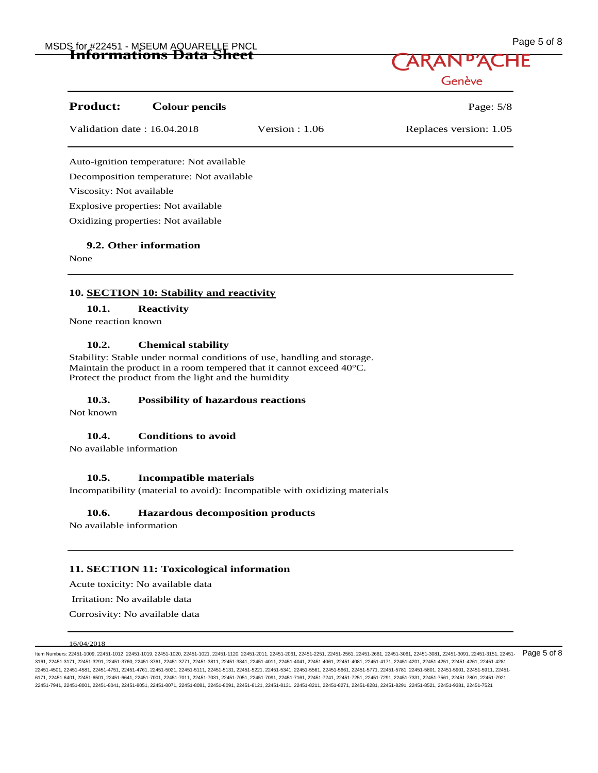## MSDS for #22451 - MSEUM AQUARELLE PNCL No. 1999 Sof 8 MSDS for #22451 - MSEUM AQUARELLE PNCL **Informations Data Sheet**



| <b>Product:</b>             | <b>Colour pencils</b>                    |                  | Page: $5/8$            |
|-----------------------------|------------------------------------------|------------------|------------------------|
| Validation date: 16.04.2018 |                                          | Version : $1.06$ | Replaces version: 1.05 |
|                             | Auto-ignition temperature: Not available |                  |                        |
|                             | Decomposition temperature: Not available |                  |                        |
| Viscosity: Not available    |                                          |                  |                        |
|                             | Explosive properties: Not available      |                  |                        |
|                             | Oxidizing properties: Not available      |                  |                        |
|                             |                                          |                  |                        |

### **9.2. Other information**

None

### **10. SECTION 10: Stability and reactivity**

**10.1. Reactivity** 

None reaction known

### **10.2. Chemical stability**

Stability: Stable under normal conditions of use, handling and storage. Maintain the product in a room tempered that it cannot exceed 40°C. Protect the product from the light and the humidity

### **10.3. Possibility of hazardous reactions**

Not known

### **10.4. Conditions to avoid**

No available information

### **10.5. Incompatible materials**

Incompatibility (material to avoid): Incompatible with oxidizing materials

### **10.6. Hazardous decomposition products**

No available information

### **11. SECTION 11: Toxicological information**

Acute toxicity: No available data

Irritation: No available data

Corrosivity: No available data

#### 16/04/2018

ltem Numbers: 22451-1009, 22451-1012, 22451-1019, 22451-1020, 22451-1021, 22451-1120, 22451-2011, 22451-2261, 22451-2261, 22451-2661, 22451-2661, 22451-3061, 22451-3081, 22451-3081, 22451-3091, 22451-3151, 22451-3161, 2245 3161, 22451-3171, 22451-3291, 22451-3760, 22451-3761, 22451-3771, 22451-3811, 22451-3841, 22451-4011, 22451-4041, 22451-4061, 22451-4081, 22451-4171, 22451-4201, 22451-4251, 22451-4261, 22451-4281, 22451-4501, 22451-4581, 22451-4751, 22451-4761, 22451-5021, 22451-5111, 22451-5131, 22451-5221, 22451-5341, 22451-5561, 22451-5661, 22451-5771, 22451-5781, 22451-5801, 22451-5901, 22451-5911, 22451- 6171, 22451-6401, 22451-6501, 22451-6641, 22451-7001, 22451-7011, 22451-7031, 22451-7051, 22451-7091, 22451-7161, 22451-7241, 22451-7251, 22451-7291, 22451-7331, 22451-7561, 22451-7801, 22451-7921, 22451-7941, 22451-8001, 22451-8041, 22451-8051, 22451-8071, 22451-8081, 22451-8091, 22451-8121, 22451-8131, 22451-8211, 22451-8271, 22451-8281, 22451-8291, 22451-8521, 22451-9381, 22451-7521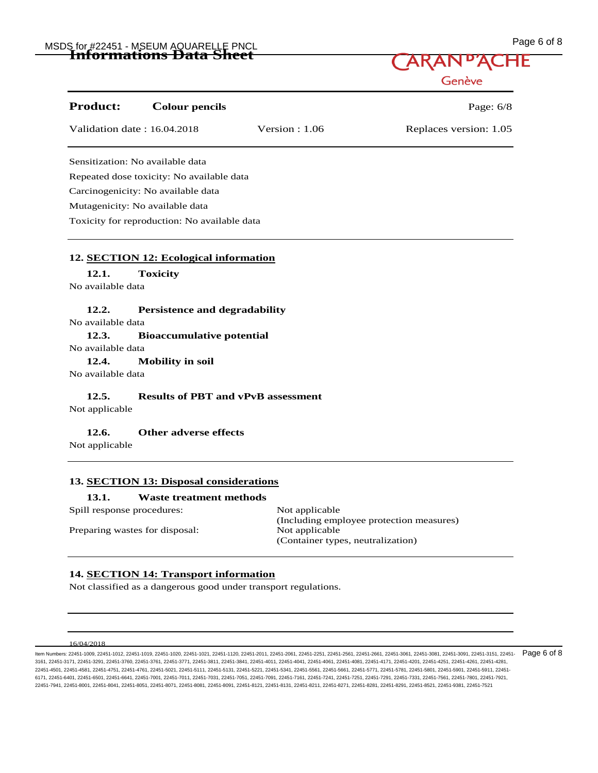## MSDS for #22451 - MSEUM AQUARELLE PNCL Page 6 of 8 **Informations Data Sheet**

| Page 6 of 8 |  |  |
|-------------|--|--|
|             |  |  |

Genève

| <b>Product:</b><br><b>Colour pencils</b>      |                  | Page: $6/8$            |
|-----------------------------------------------|------------------|------------------------|
| Validation date: 16.04.2018                   | Version : $1.06$ | Replaces version: 1.05 |
| Sensitization: No available data              |                  |                        |
| Repeated dose toxicity: No available data     |                  |                        |
| Carcinogenicity: No available data            |                  |                        |
| Mutagenicity: No available data               |                  |                        |
| Toxicity for reproduction: No available data  |                  |                        |
|                                               |                  |                        |
| 12. SECTION 12: Ecological information        |                  |                        |
| <b>Toxicity</b><br>12.1.<br>No available data |                  |                        |

### **12.2. Persistence and degradability**

No available data

### **12.3. Bioaccumulative potential**

No available data

**12.4. Mobility in soil** 

No available data

### **12.5. Results of PBT and vPvB assessment**

Not applicable

### **12.6. Other adverse effects**

Not applicable

### **13. SECTION 13: Disposal considerations**

### **13.1. Waste treatment methods**

Spill response procedures: Not applicable

Preparing wastes for disposal: Not applicable

(Including employee protection measures) (Container types, neutralization)

### **14. SECTION 14: Transport information**

Not classified as a dangerous good under transport regulations.

#### 16/04/2018

ltem Numbers: 22451-1009, 22451-1012, 22451-1019, 22451-1020, 22451-1021, 22451-1120, 22451-2011, 22451-2261, 22451-2261, 22451-2661, 22451-2661, 22451-3081, 22451-3081, 22451-3081, 22451-3151, 22451-3151, 22451-3091, 2245 3161, 22451-3171, 22451-3291, 22451-3760, 22451-3761, 22451-3771, 22451-3811, 22451-3841, 22451-4011, 22451-4041, 22451-4061, 22451-4081, 22451-4171, 22451-4201, 22451-4251, 22451-4261, 22451-4281, 22451-4501, 22451-4581, 22451-4751, 22451-4761, 22451-5021, 22451-5111, 22451-5131, 22451-5221, 22451-5341, 22451-5561, 22451-5661, 22451-5771, 22451-5781, 22451-5801, 22451-5901, 22451-5911, 22451- 6171, 22451-6401, 22451-6501, 22451-6641, 22451-7001, 22451-7011, 22451-7031, 22451-7051, 22451-7091, 22451-7161, 22451-7241, 22451-7251, 22451-7291, 22451-7331, 22451-7561, 22451-7801, 22451-7921, 22451-7941, 22451-8001, 22451-8041, 22451-8051, 22451-8071, 22451-8081, 22451-8091, 22451-8121, 22451-8131, 22451-8211, 22451-8271, 22451-8281, 22451-8291, 22451-8521, 22451-9381, 22451-7521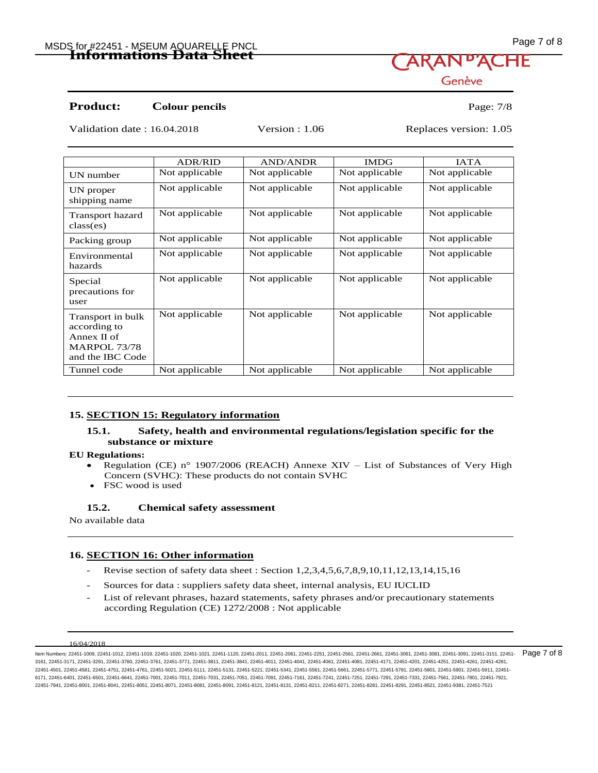## MSDS for #22451 - MSEUM AQUARELLE PNCL Page 7 of 8 **Informations Data Sheet**

Genève

### **Product:** Colour pencils Page: 7/8

Validation date : 16.04.2018 Version : 1.06 Replaces version: 1.05

|                                                                                                | <b>ADR/RID</b> | <b>AND/ANDR</b> | <b>IMDG</b>    | <b>IATA</b>    |
|------------------------------------------------------------------------------------------------|----------------|-----------------|----------------|----------------|
| UN number                                                                                      | Not applicable | Not applicable  | Not applicable | Not applicable |
| UN proper<br>shipping name                                                                     | Not applicable | Not applicable  | Not applicable | Not applicable |
| Transport hazard<br>class(es)                                                                  | Not applicable | Not applicable  | Not applicable | Not applicable |
| Packing group                                                                                  | Not applicable | Not applicable  | Not applicable | Not applicable |
| Environmental<br>hazards                                                                       | Not applicable | Not applicable  | Not applicable | Not applicable |
| Special<br>precautions for<br>user                                                             | Not applicable | Not applicable  | Not applicable | Not applicable |
| Transport in bulk<br>according to<br>Annex $\Pi$ of<br><b>MARPOL 73/78</b><br>and the IBC Code | Not applicable | Not applicable  | Not applicable | Not applicable |
| Tunnel code                                                                                    | Not applicable | Not applicable  | Not applicable | Not applicable |

### **15. SECTION 15: Regulatory information**

### **15.1. Safety, health and environmental regulations/legislation specific for the substance or mixture**

### **EU Regulations:**

- Regulation (CE) n° 1907/2006 (REACH) Annexe XIV List of Substances of Very High Concern (SVHC): These products do not contain SVHC
- FSC wood is used

### **15.2. Chemical safety assessment**

No available data

### **16. SECTION 16: Other information**

- Revise section of safety data sheet : Section 1,2,3,4,5,6,7,8,9,10,11,12,13,14,15,16
- Sources for data : suppliers safety data sheet, internal analysis, EU IUCLID
- List of relevant phrases, hazard statements, safety phrases and/or precautionary statements according Regulation (CE) 1272/2008 : Not applicable

ltem Numbers: 22451-1009, 22451-1012, 22451-1019, 22451-1020, 22451-1021, 22451-1120, 22451-2011, 22451-2261, 22451-2261, 22451-2661, 22451-2661, 22451-3061, 22451-3081, 22451-3081, 22451-3091, 22451-3151, 22451-3161, 2245 3161, 22451-3171, 22451-3291, 22451-3760, 22451-3761, 22451-3771, 22451-3811, 22451-3841, 22451-4011, 22451-4041, 22451-4061, 22451-4081, 22451-4171, 22451-4201, 22451-4251, 22451-4261, 22451-4281, 22451-4501, 22451-4581, 22451-4751, 22451-4761, 22451-5021, 22451-5111, 22451-5131, 22451-5221, 22451-5341, 22451-5561, 22451-5661, 22451-5771, 22451-5781, 22451-5801, 22451-5901, 22451-5911, 22451- 6171, 22451-6401, 22451-6501, 22451-6641, 22451-7001, 22451-7011, 22451-7031, 22451-7051, 22451-7091, 22451-7161, 22451-7241, 22451-7251, 22451-7291, 22451-7331, 22451-7561, 22451-7801, 22451-7921, 22451-7941, 22451-8001, 22451-8041, 22451-8051, 22451-8071, 22451-8081, 22451-8091, 22451-8121, 22451-8131, 22451-8211, 22451-8271, 22451-8281, 22451-8291, 22451-8521, 22451-9381, 22451-7521